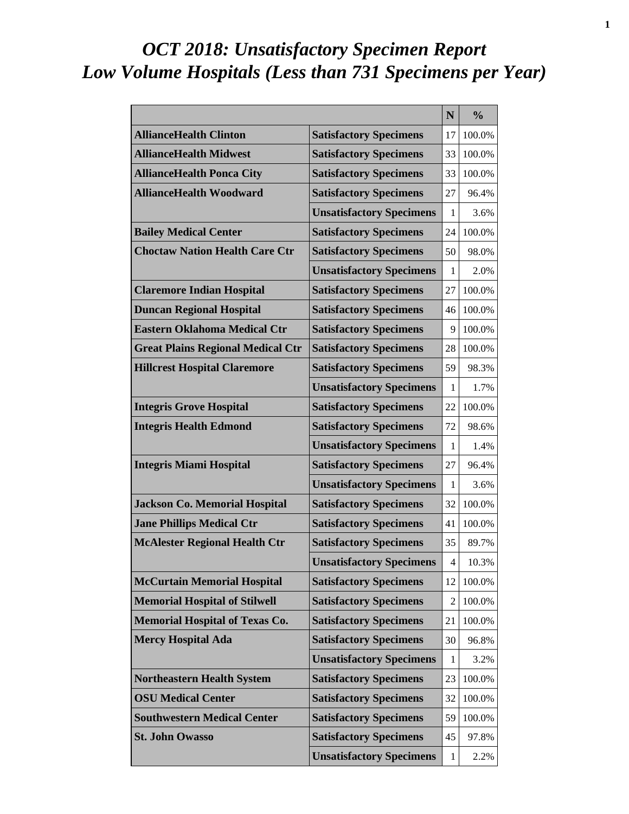# *OCT 2018: Unsatisfactory Specimen Report Low Volume Hospitals (Less than 731 Specimens per Year)*

|                                          |                                 | N  | $\frac{0}{0}$ |
|------------------------------------------|---------------------------------|----|---------------|
| <b>AllianceHealth Clinton</b>            | <b>Satisfactory Specimens</b>   | 17 | 100.0%        |
| <b>AllianceHealth Midwest</b>            | <b>Satisfactory Specimens</b>   | 33 | 100.0%        |
| <b>AllianceHealth Ponca City</b>         | <b>Satisfactory Specimens</b>   | 33 | 100.0%        |
| <b>AllianceHealth Woodward</b>           | <b>Satisfactory Specimens</b>   | 27 | 96.4%         |
|                                          | <b>Unsatisfactory Specimens</b> | 1  | 3.6%          |
| <b>Bailey Medical Center</b>             | <b>Satisfactory Specimens</b>   | 24 | 100.0%        |
| <b>Choctaw Nation Health Care Ctr</b>    | <b>Satisfactory Specimens</b>   | 50 | 98.0%         |
|                                          | <b>Unsatisfactory Specimens</b> | 1  | 2.0%          |
| <b>Claremore Indian Hospital</b>         | <b>Satisfactory Specimens</b>   | 27 | 100.0%        |
| <b>Duncan Regional Hospital</b>          | <b>Satisfactory Specimens</b>   | 46 | 100.0%        |
| <b>Eastern Oklahoma Medical Ctr</b>      | <b>Satisfactory Specimens</b>   | 9  | 100.0%        |
| <b>Great Plains Regional Medical Ctr</b> | <b>Satisfactory Specimens</b>   | 28 | 100.0%        |
| <b>Hillcrest Hospital Claremore</b>      | <b>Satisfactory Specimens</b>   | 59 | 98.3%         |
|                                          | <b>Unsatisfactory Specimens</b> | 1  | 1.7%          |
| <b>Integris Grove Hospital</b>           | <b>Satisfactory Specimens</b>   | 22 | 100.0%        |
| <b>Integris Health Edmond</b>            | <b>Satisfactory Specimens</b>   | 72 | 98.6%         |
|                                          | <b>Unsatisfactory Specimens</b> | 1  | 1.4%          |
| <b>Integris Miami Hospital</b>           | <b>Satisfactory Specimens</b>   | 27 | 96.4%         |
|                                          | <b>Unsatisfactory Specimens</b> | 1  | 3.6%          |
| <b>Jackson Co. Memorial Hospital</b>     | <b>Satisfactory Specimens</b>   | 32 | 100.0%        |
| <b>Jane Phillips Medical Ctr</b>         | <b>Satisfactory Specimens</b>   | 41 | 100.0%        |
| <b>McAlester Regional Health Ctr</b>     | <b>Satisfactory Specimens</b>   | 35 | 89.7%         |
|                                          | <b>Unsatisfactory Specimens</b> | 4  | 10.3%         |
| <b>McCurtain Memorial Hospital</b>       | <b>Satisfactory Specimens</b>   | 12 | 100.0%        |
| <b>Memorial Hospital of Stilwell</b>     | <b>Satisfactory Specimens</b>   | 2  | 100.0%        |
| <b>Memorial Hospital of Texas Co.</b>    | <b>Satisfactory Specimens</b>   | 21 | 100.0%        |
| <b>Mercy Hospital Ada</b>                | <b>Satisfactory Specimens</b>   | 30 | 96.8%         |
|                                          | <b>Unsatisfactory Specimens</b> | 1  | 3.2%          |
| <b>Northeastern Health System</b>        | <b>Satisfactory Specimens</b>   | 23 | 100.0%        |
| <b>OSU Medical Center</b>                | <b>Satisfactory Specimens</b>   | 32 | 100.0%        |
| <b>Southwestern Medical Center</b>       | <b>Satisfactory Specimens</b>   | 59 | 100.0%        |
| <b>St. John Owasso</b>                   | <b>Satisfactory Specimens</b>   | 45 | 97.8%         |
|                                          | <b>Unsatisfactory Specimens</b> | 1  | 2.2%          |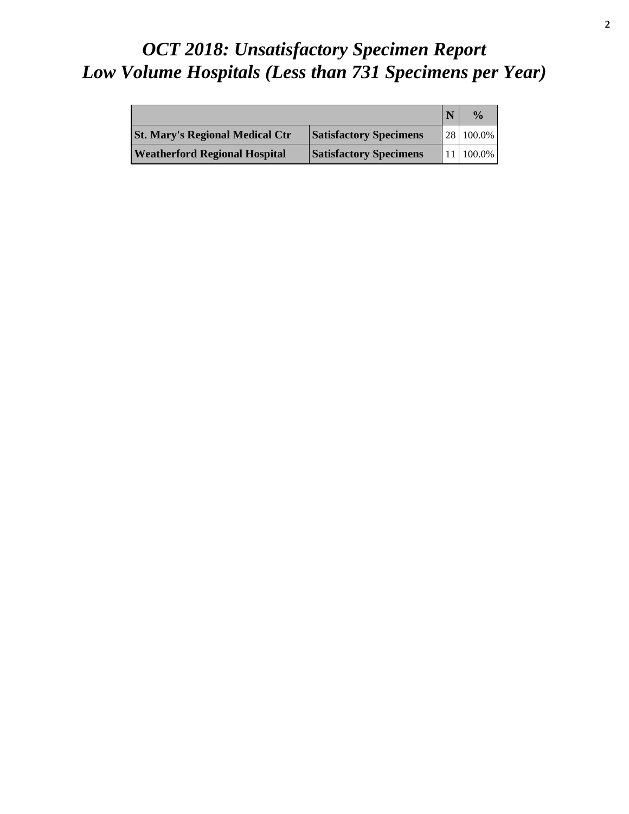# *OCT 2018: Unsatisfactory Specimen Report Low Volume Hospitals (Less than 731 Specimens per Year)*

|                                        |                               | $\frac{0}{a}$          |
|----------------------------------------|-------------------------------|------------------------|
| <b>St. Mary's Regional Medical Ctr</b> | <b>Satisfactory Specimens</b> | 28 100.0%              |
| <b>Weatherford Regional Hospital</b>   | <b>Satisfactory Specimens</b> | $11 \mid 100.0\% \mid$ |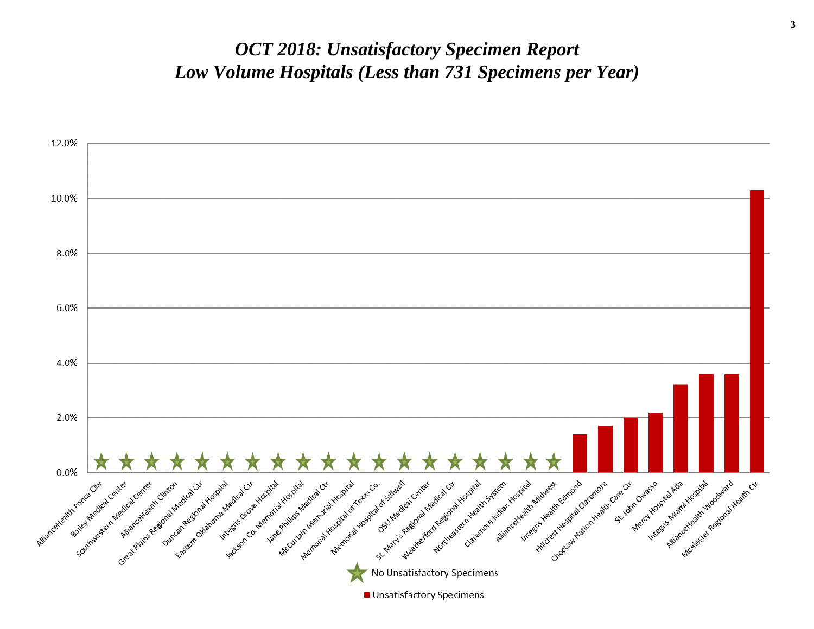### *OCT 2018: Unsatisfactory Specimen Report Low Volume Hospitals (Less than 731 Specimens per Year)*

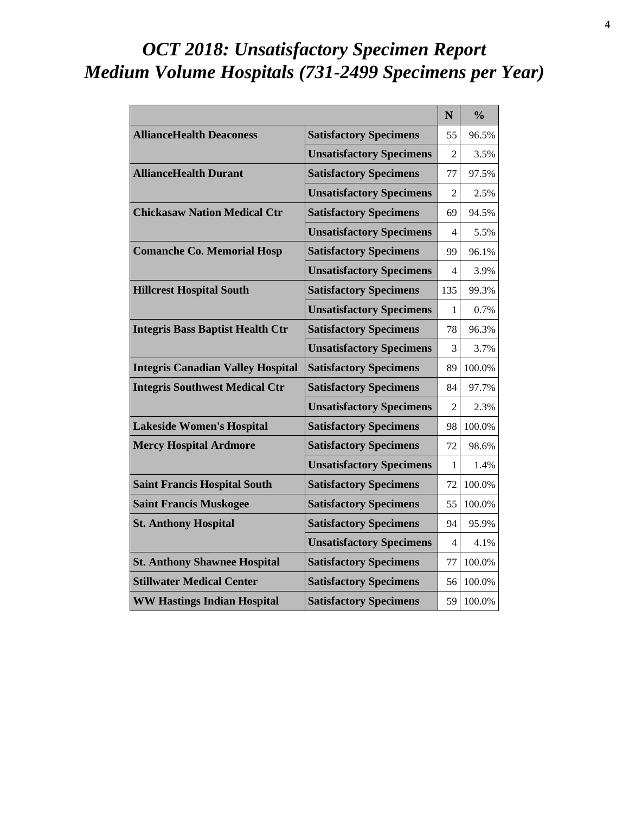## *OCT 2018: Unsatisfactory Specimen Report Medium Volume Hospitals (731-2499 Specimens per Year)*

|                                          |                                 | N              | $\frac{0}{0}$ |
|------------------------------------------|---------------------------------|----------------|---------------|
| <b>AllianceHealth Deaconess</b>          | <b>Satisfactory Specimens</b>   | 55             | 96.5%         |
|                                          | <b>Unsatisfactory Specimens</b> | $\mathfrak{D}$ | 3.5%          |
| <b>AllianceHealth Durant</b>             | <b>Satisfactory Specimens</b>   | 77             | 97.5%         |
|                                          | <b>Unsatisfactory Specimens</b> | $\mathfrak{D}$ | 2.5%          |
| <b>Chickasaw Nation Medical Ctr</b>      | <b>Satisfactory Specimens</b>   | 69             | 94.5%         |
|                                          | <b>Unsatisfactory Specimens</b> | 4              | 5.5%          |
| <b>Comanche Co. Memorial Hosp</b>        | <b>Satisfactory Specimens</b>   | 99             | 96.1%         |
|                                          | <b>Unsatisfactory Specimens</b> | 4              | 3.9%          |
| <b>Hillcrest Hospital South</b>          | <b>Satisfactory Specimens</b>   | 135            | 99.3%         |
|                                          | <b>Unsatisfactory Specimens</b> | 1              | 0.7%          |
| <b>Integris Bass Baptist Health Ctr</b>  | <b>Satisfactory Specimens</b>   | 78             | 96.3%         |
|                                          | <b>Unsatisfactory Specimens</b> | 3              | 3.7%          |
| <b>Integris Canadian Valley Hospital</b> | <b>Satisfactory Specimens</b>   | 89             | 100.0%        |
| <b>Integris Southwest Medical Ctr</b>    | <b>Satisfactory Specimens</b>   | 84             | 97.7%         |
|                                          | <b>Unsatisfactory Specimens</b> | $\mathfrak{D}$ | 2.3%          |
| <b>Lakeside Women's Hospital</b>         | <b>Satisfactory Specimens</b>   | 98             | 100.0%        |
| <b>Mercy Hospital Ardmore</b>            | <b>Satisfactory Specimens</b>   | 72             | 98.6%         |
|                                          | <b>Unsatisfactory Specimens</b> | 1              | 1.4%          |
| <b>Saint Francis Hospital South</b>      | <b>Satisfactory Specimens</b>   | 72             | 100.0%        |
| <b>Saint Francis Muskogee</b>            | <b>Satisfactory Specimens</b>   | 55             | 100.0%        |
| <b>St. Anthony Hospital</b>              | <b>Satisfactory Specimens</b>   | 94             | 95.9%         |
|                                          | <b>Unsatisfactory Specimens</b> | 4              | 4.1%          |
| <b>St. Anthony Shawnee Hospital</b>      | <b>Satisfactory Specimens</b>   | 77             | 100.0%        |
| <b>Stillwater Medical Center</b>         | <b>Satisfactory Specimens</b>   | 56             | 100.0%        |
| <b>WW Hastings Indian Hospital</b>       | <b>Satisfactory Specimens</b>   | 59             | 100.0%        |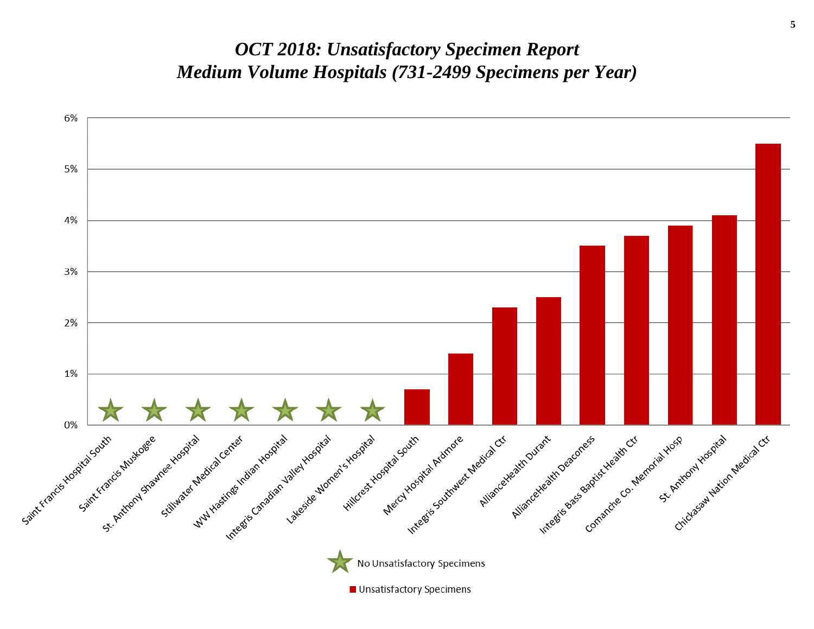### *OCT 2018: Unsatisfactory Specimen Report Medium Volume Hospitals (731-2499 Specimens per Year)*

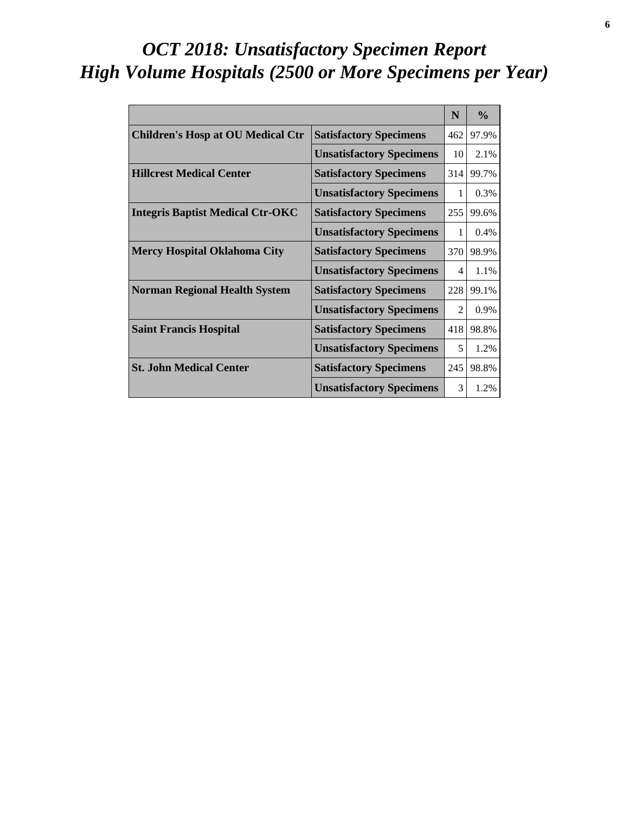# *OCT 2018: Unsatisfactory Specimen Report High Volume Hospitals (2500 or More Specimens per Year)*

|                                          |                                 | N                           | $\frac{0}{0}$ |
|------------------------------------------|---------------------------------|-----------------------------|---------------|
| <b>Children's Hosp at OU Medical Ctr</b> | <b>Satisfactory Specimens</b>   | 462                         | 97.9%         |
|                                          | <b>Unsatisfactory Specimens</b> | 10                          | 2.1%          |
| <b>Hillcrest Medical Center</b>          | <b>Satisfactory Specimens</b>   | 314                         | 99.7%         |
|                                          | <b>Unsatisfactory Specimens</b> | 1                           | 0.3%          |
| <b>Integris Baptist Medical Ctr-OKC</b>  | <b>Satisfactory Specimens</b>   | 255                         | 99.6%         |
|                                          | <b>Unsatisfactory Specimens</b> | 1                           | 0.4%          |
| <b>Mercy Hospital Oklahoma City</b>      | <b>Satisfactory Specimens</b>   | 370                         | 98.9%         |
|                                          | <b>Unsatisfactory Specimens</b> | 4                           | 1.1%          |
| <b>Norman Regional Health System</b>     | <b>Satisfactory Specimens</b>   | 228                         | 99.1%         |
|                                          | <b>Unsatisfactory Specimens</b> | $\mathcal{D}_{\mathcal{L}}$ | 0.9%          |
| <b>Saint Francis Hospital</b>            | <b>Satisfactory Specimens</b>   | 418                         | 98.8%         |
|                                          | <b>Unsatisfactory Specimens</b> | 5                           | 1.2%          |
| <b>St. John Medical Center</b>           | <b>Satisfactory Specimens</b>   | 245                         | 98.8%         |
|                                          | <b>Unsatisfactory Specimens</b> | 3                           | 1.2%          |